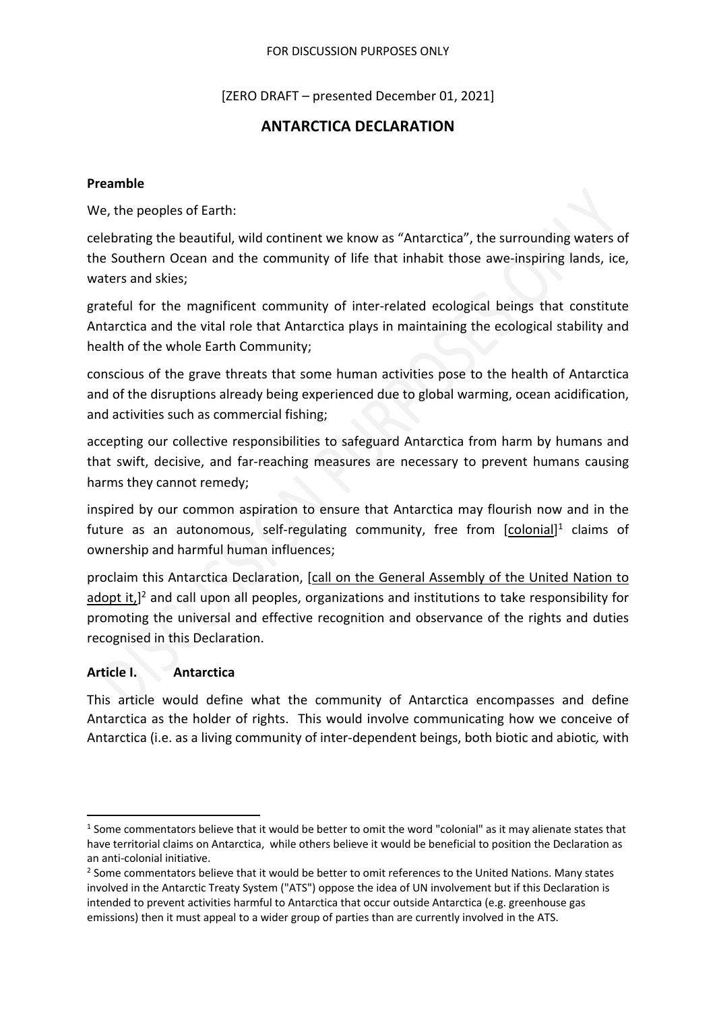#### FOR DISCUSSION PURPOSES ONLY

[ZERO DRAFT – presented December 01, 2021]

# **ANTARCTICA DECLARATION**

#### **Preamble**

We, the peoples of Earth:

celebrating the beautiful, wild continent we know as "Antarctica", the surrounding waters of the Southern Ocean and the community of life that inhabit those awe-inspiring lands, ice, waters and skies;

grateful for the magnificent community of inter-related ecological beings that constitute Antarctica and the vital role that Antarctica plays in maintaining the ecological stability and health of the whole Earth Community;

conscious of the grave threats that some human activities pose to the health of Antarctica and of the disruptions already being experienced due to global warming, ocean acidification, and activities such as commercial fishing;

accepting our collective responsibilities to safeguard Antarctica from harm by humans and that swift, decisive, and far-reaching measures are necessary to prevent humans causing harms they cannot remedy;

inspired by our common aspiration to ensure that Antarctica may flourish now and in the future as an autonomous, self-regulating community, free from [colonial]<sup>1</sup> claims of ownership and harmful human influences;

proclaim this Antarctica Declaration, [call on the General Assembly of the United Nation to adopt it,]<sup>2</sup> and call upon all peoples, organizations and institutions to take responsibility for promoting the universal and effective recognition and observance of the rights and duties recognised in this Declaration.

## **Article I. Antarctica**

This article would define what the community of Antarctica encompasses and define Antarctica as the holder of rights. This would involve communicating how we conceive of Antarctica (i.e. as a living community of inter-dependent beings, both biotic and abiotic*,* with

<sup>1</sup> Some commentators believe that it would be better to omit the word "colonial" as it may alienate states that have territorial claims on Antarctica, while others believe it would be beneficial to position the Declaration as an anti-colonial initiative.

<sup>&</sup>lt;sup>2</sup> Some commentators believe that it would be better to omit references to the United Nations. Many states involved in the Antarctic Treaty System ("ATS") oppose the idea of UN involvement but if this Declaration is intended to prevent activities harmful to Antarctica that occur outside Antarctica (e.g. greenhouse gas emissions) then it must appeal to a wider group of parties than are currently involved in the ATS.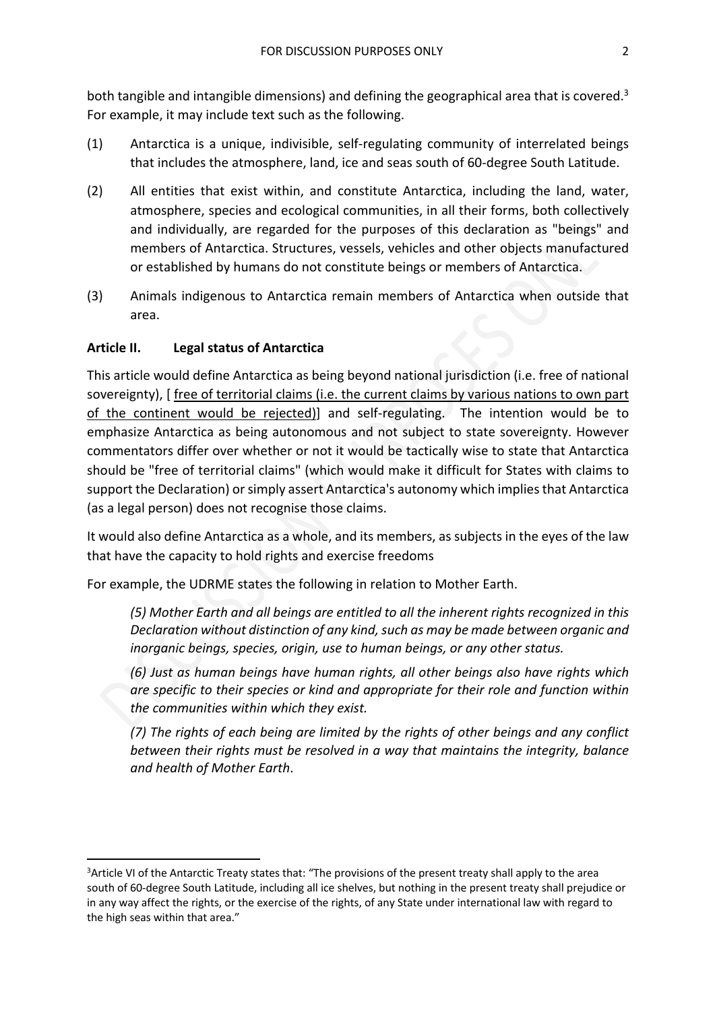both tangible and intangible dimensions) and defining the geographical area that is covered.<sup>3</sup> For example, it may include text such as the following.

- (1) Antarctica is a unique, indivisible, self-regulating community of interrelated beings that includes the atmosphere, land, ice and seas south of 60-degree South Latitude.
- (2) All entities that exist within, and constitute Antarctica, including the land, water, atmosphere, species and ecological communities, in all their forms, both collectively and individually, are regarded for the purposes of this declaration as "beings" and members of Antarctica. Structures, vessels, vehicles and other objects manufactured or established by humans do not constitute beings or members of Antarctica.
- (3) Animals indigenous to Antarctica remain members of Antarctica when outside that area.

## **Article II. Legal status of Antarctica**

This article would define Antarctica as being beyond national jurisdiction (i.e. free of national sovereignty), [ free of territorial claims (i.e. the current claims by various nations to own part of the continent would be rejected)] and self-regulating. The intention would be to emphasize Antarctica as being autonomous and not subject to state sovereignty. However commentators differ over whether or not it would be tactically wise to state that Antarctica should be "free of territorial claims" (which would make it difficult for States with claims to support the Declaration) or simply assert Antarctica's autonomy which implies that Antarctica (as a legal person) does not recognise those claims.

It would also define Antarctica as a whole, and its members, as subjects in the eyes of the law that have the capacity to hold rights and exercise freedoms

For example, the UDRME states the following in relation to Mother Earth.

*(5) Mother Earth and all beings are entitled to all the inherent rights recognized in this Declaration without distinction of any kind, such as may be made between organic and inorganic beings, species, origin, use to human beings, or any other status.*

*(6) Just as human beings have human rights, all other beings also have rights which are specific to their species or kind and appropriate for their role and function within the communities within which they exist.*

*(7) The rights of each being are limited by the rights of other beings and any conflict between their rights must be resolved in a way that maintains the integrity, balance and health of Mother Earth*.

<sup>&</sup>lt;sup>3</sup>Article VI of the Antarctic Treaty states that: "The provisions of the present treaty shall apply to the area south of 60-degree South Latitude, including all ice shelves, but nothing in the present treaty shall prejudice or in any way affect the rights, or the exercise of the rights, of any State under international law with regard to the high seas within that area."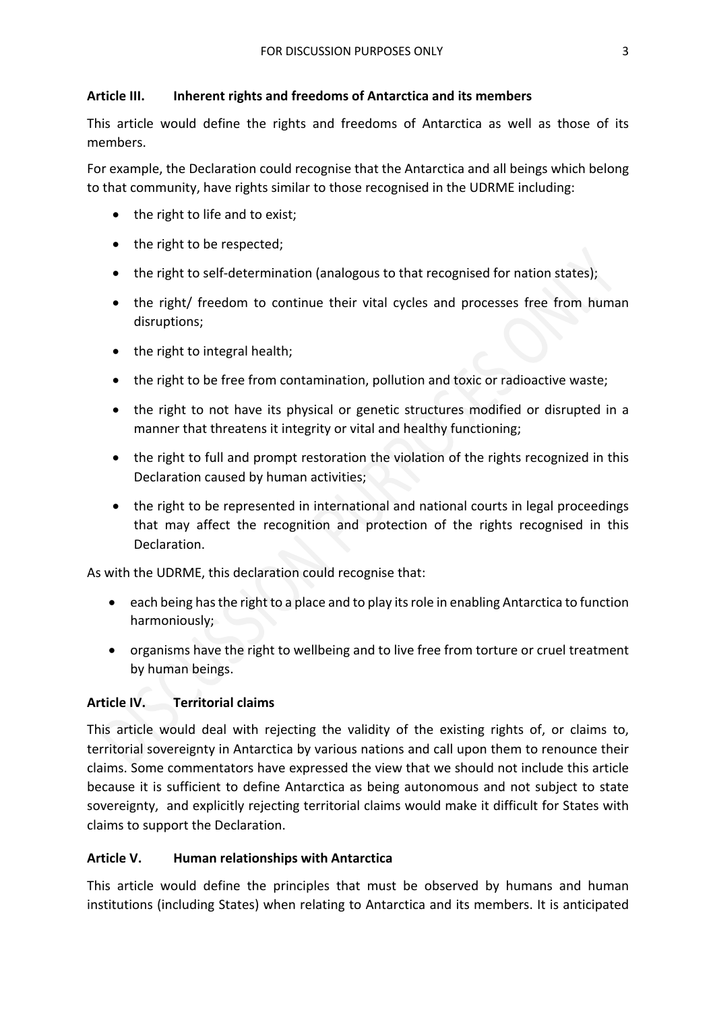## **Article III. Inherent rights and freedoms of Antarctica and its members**

This article would define the rights and freedoms of Antarctica as well as those of its members.

For example, the Declaration could recognise that the Antarctica and all beings which belong to that community, have rights similar to those recognised in the UDRME including:

- the right to life and to exist;
- the right to be respected;
- the right to self-determination (analogous to that recognised for nation states);
- the right/ freedom to continue their vital cycles and processes free from human disruptions;
- the right to integral health;
- the right to be free from contamination, pollution and toxic or radioactive waste;
- the right to not have its physical or genetic structures modified or disrupted in a manner that threatens it integrity or vital and healthy functioning;
- the right to full and prompt restoration the violation of the rights recognized in this Declaration caused by human activities;
- the right to be represented in international and national courts in legal proceedings that may affect the recognition and protection of the rights recognised in this Declaration.

As with the UDRME, this declaration could recognise that:

- each being has the right to a place and to play its role in enabling Antarctica to function harmoniously;
- organisms have the right to wellbeing and to live free from torture or cruel treatment by human beings.

# **Article IV. Territorial claims**

This article would deal with rejecting the validity of the existing rights of, or claims to, territorial sovereignty in Antarctica by various nations and call upon them to renounce their claims. Some commentators have expressed the view that we should not include this article because it is sufficient to define Antarctica as being autonomous and not subject to state sovereignty, and explicitly rejecting territorial claims would make it difficult for States with claims to support the Declaration.

## **Article V. Human relationships with Antarctica**

This article would define the principles that must be observed by humans and human institutions (including States) when relating to Antarctica and its members. It is anticipated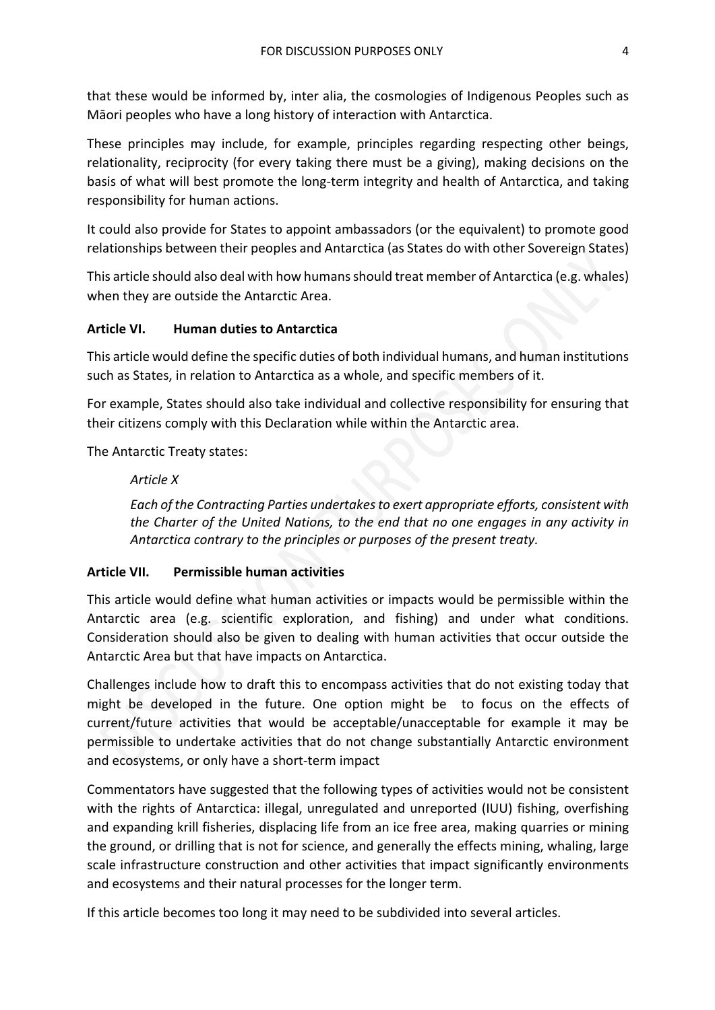that these would be informed by, inter alia, the cosmologies of Indigenous Peoples such as Māori peoples who have a long history of interaction with Antarctica.

These principles may include, for example, principles regarding respecting other beings, relationality, reciprocity (for every taking there must be a giving), making decisions on the basis of what will best promote the long-term integrity and health of Antarctica, and taking responsibility for human actions.

It could also provide for States to appoint ambassadors (or the equivalent) to promote good relationships between their peoples and Antarctica (as States do with other Sovereign States)

This article should also deal with how humans should treat member of Antarctica (e.g. whales) when they are outside the Antarctic Area.

## **Article VI. Human duties to Antarctica**

This article would define the specific duties of both individual humans, and human institutions such as States, in relation to Antarctica as a whole, and specific members of it.

For example, States should also take individual and collective responsibility for ensuring that their citizens comply with this Declaration while within the Antarctic area.

The Antarctic Treaty states:

## *Article X*

*Each of the Contracting Parties undertakes to exert appropriate efforts, consistent with the Charter of the United Nations, to the end that no one engages in any activity in Antarctica contrary to the principles or purposes of the present treaty.*

## **Article VII. Permissible human activities**

This article would define what human activities or impacts would be permissible within the Antarctic area (e.g. scientific exploration, and fishing) and under what conditions. Consideration should also be given to dealing with human activities that occur outside the Antarctic Area but that have impacts on Antarctica.

Challenges include how to draft this to encompass activities that do not existing today that might be developed in the future. One option might be to focus on the effects of current/future activities that would be acceptable/unacceptable for example it may be permissible to undertake activities that do not change substantially Antarctic environment and ecosystems, or only have a short-term impact

Commentators have suggested that the following types of activities would not be consistent with the rights of Antarctica: illegal, unregulated and unreported (IUU) fishing, overfishing and expanding krill fisheries, displacing life from an ice free area, making quarries or mining the ground, or drilling that is not for science, and generally the effects mining, whaling, large scale infrastructure construction and other activities that impact significantly environments and ecosystems and their natural processes for the longer term.

If this article becomes too long it may need to be subdivided into several articles.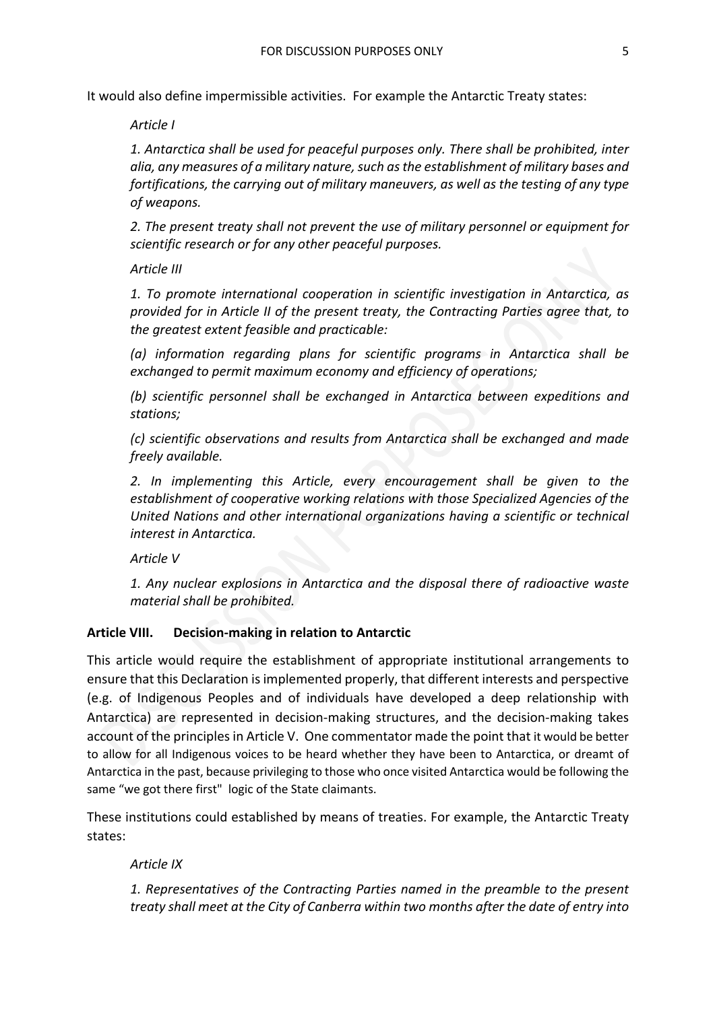It would also define impermissible activities. For example the Antarctic Treaty states:

*Article I*

*1. Antarctica shall be used for peaceful purposes only. There shall be prohibited, inter alia, any measures of a military nature, such as the establishment of military bases and fortifications, the carrying out of military maneuvers, as well as the testing of any type of weapons.*

*2. The present treaty shall not prevent the use of military personnel or equipment for scientific research or for any other peaceful purposes.*

*Article III*

*1. To promote international cooperation in scientific investigation in Antarctica, as provided for in Article II of the present treaty, the Contracting Parties agree that, to the greatest extent feasible and practicable:*

*(a) information regarding plans for scientific programs in Antarctica shall be exchanged to permit maximum economy and efficiency of operations;*

*(b) scientific personnel shall be exchanged in Antarctica between expeditions and stations;*

*(c) scientific observations and results from Antarctica shall be exchanged and made freely available.*

*2. In implementing this Article, every encouragement shall be given to the establishment of cooperative working relations with those Specialized Agencies of the United Nations and other international organizations having a scientific or technical interest in Antarctica.*

*Article V*

*1. Any nuclear explosions in Antarctica and the disposal there of radioactive waste material shall be prohibited.*

#### **Article VIII. Decision-making in relation to Antarctic**

This article would require the establishment of appropriate institutional arrangements to ensure that this Declaration is implemented properly, that different interests and perspective (e.g. of Indigenous Peoples and of individuals have developed a deep relationship with Antarctica) are represented in decision-making structures, and the decision-making takes account of the principles in Article V. One commentator made the point that it would be better to allow for all Indigenous voices to be heard whether they have been to Antarctica, or dreamt of Antarctica in the past, because privileging to those who once visited Antarctica would be following the same "we got there first" logic of the State claimants.

These institutions could established by means of treaties. For example, the Antarctic Treaty states:

*Article IX*

*1. Representatives of the Contracting Parties named in the preamble to the present treaty shall meet at the City of Canberra within two months after the date of entry into*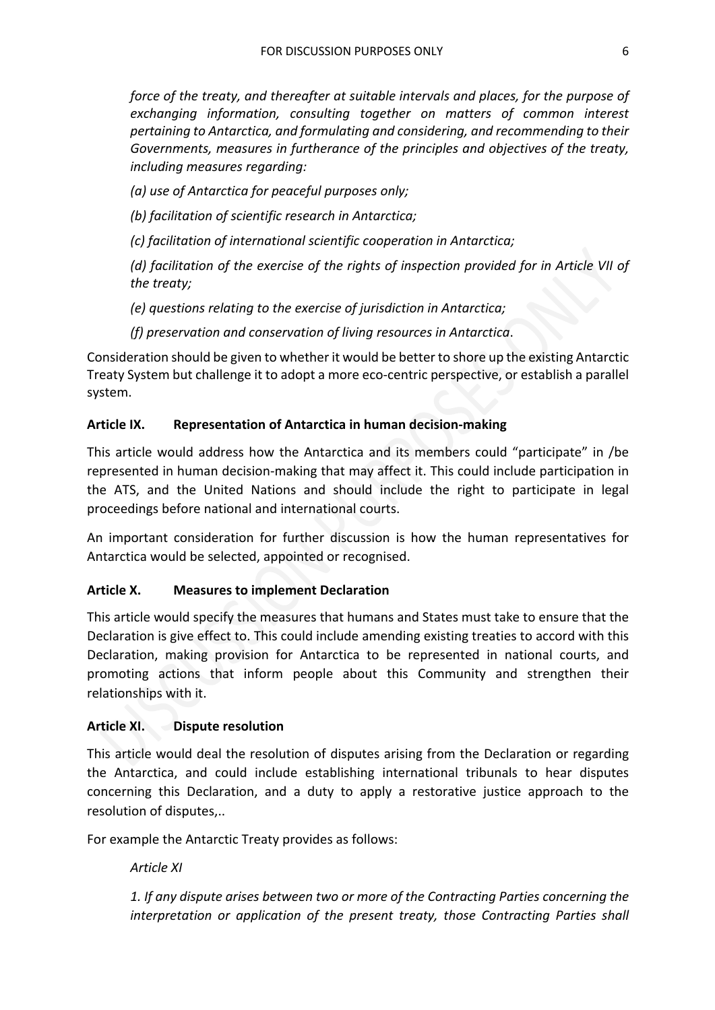*force of the treaty, and thereafter at suitable intervals and places, for the purpose of exchanging information, consulting together on matters of common interest pertaining to Antarctica, and formulating and considering, and recommending to their Governments, measures in furtherance of the principles and objectives of the treaty, including measures regarding:*

*(a) use of Antarctica for peaceful purposes only;*

*(b) facilitation of scientific research in Antarctica;*

*(c) facilitation of international scientific cooperation in Antarctica;*

*(d) facilitation of the exercise of the rights of inspection provided for in Article VII of the treaty;*

*(e) questions relating to the exercise of jurisdiction in Antarctica;*

*(f) preservation and conservation of living resources in Antarctica*.

Consideration should be given to whether it would be better to shore up the existing Antarctic Treaty System but challenge it to adopt a more eco-centric perspective, or establish a parallel system.

## **Article IX. Representation of Antarctica in human decision-making**

This article would address how the Antarctica and its members could "participate" in /be represented in human decision-making that may affect it. This could include participation in the ATS, and the United Nations and should include the right to participate in legal proceedings before national and international courts.

An important consideration for further discussion is how the human representatives for Antarctica would be selected, appointed or recognised.

# **Article X. Measures to implement Declaration**

This article would specify the measures that humans and States must take to ensure that the Declaration is give effect to. This could include amending existing treaties to accord with this Declaration, making provision for Antarctica to be represented in national courts, and promoting actions that inform people about this Community and strengthen their relationships with it.

## **Article XI. Dispute resolution**

This article would deal the resolution of disputes arising from the Declaration or regarding the Antarctica, and could include establishing international tribunals to hear disputes concerning this Declaration, and a duty to apply a restorative justice approach to the resolution of disputes,..

For example the Antarctic Treaty provides as follows:

## *Article XI*

*1. If any dispute arises between two or more of the Contracting Parties concerning the interpretation or application of the present treaty, those Contracting Parties shall*